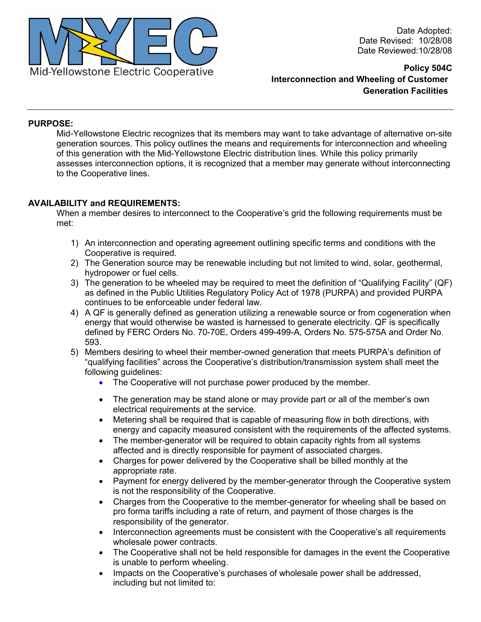

Date Adopted: Date Revised: 10/28/08 Date Reviewed:10/28/08

**Policy 504C Interconnection and Wheeling of Customer Generation Facilities** 

## **PURPOSE:**

Mid-Yellowstone Electric recognizes that its members may want to take advantage of alternative on-site generation sources. This policy outlines the means and requirements for interconnection and wheeling of this generation with the Mid-Yellowstone Electric distribution lines. While this policy primarily assesses interconnection options, it is recognized that a member may generate without interconnecting to the Cooperative lines.

## **AVAILABILITY and REQUIREMENTS:**

When a member desires to interconnect to the Cooperative's grid the following requirements must be met:

- 1) An interconnection and operating agreement outlining specific terms and conditions with the Cooperative is required.
- 2) The Generation source may be renewable including but not limited to wind, solar, geothermal, hydropower or fuel cells.
- 3) The generation to be wheeled may be required to meet the definition of "Qualifying Facility" (QF) as defined in the Public Utilities Regulatory Policy Act of 1978 (PURPA) and provided PURPA continues to be enforceable under federal law.
- 4) A QF is generally defined as generation utilizing a renewable source or from cogeneration when energy that would otherwise be wasted is harnessed to generate electricity. QF is specifically defined by FERC Orders No. 70-70E, Orders 499-499-A, Orders No. 575-575A and Order No. 593.
- 5) Members desiring to wheel their member-owned generation that meets PURPA's definition of "qualifying facilities" across the Cooperative's distribution/transmission system shall meet the following guidelines:
	- The Cooperative will not purchase power produced by the member.
	- The generation may be stand alone or may provide part or all of the member's own electrical requirements at the service.
	- Metering shall be required that is capable of measuring flow in both directions, with energy and capacity measured consistent with the requirements of the affected systems.
	- The member-generator will be required to obtain capacity rights from all systems affected and is directly responsible for payment of associated charges.
	- Charges for power delivered by the Cooperative shall be billed monthly at the appropriate rate.
	- Payment for energy delivered by the member-generator through the Cooperative system is not the responsibility of the Cooperative.
	- Charges from the Cooperative to the member-generator for wheeling shall be based on pro forma tariffs including a rate of return, and payment of those charges is the responsibility of the generator.
	- Interconnection agreements must be consistent with the Cooperative's all requirements wholesale power contracts.
	- The Cooperative shall not be held responsible for damages in the event the Cooperative is unable to perform wheeling.
	- Impacts on the Cooperative's purchases of wholesale power shall be addressed, including but not limited to: